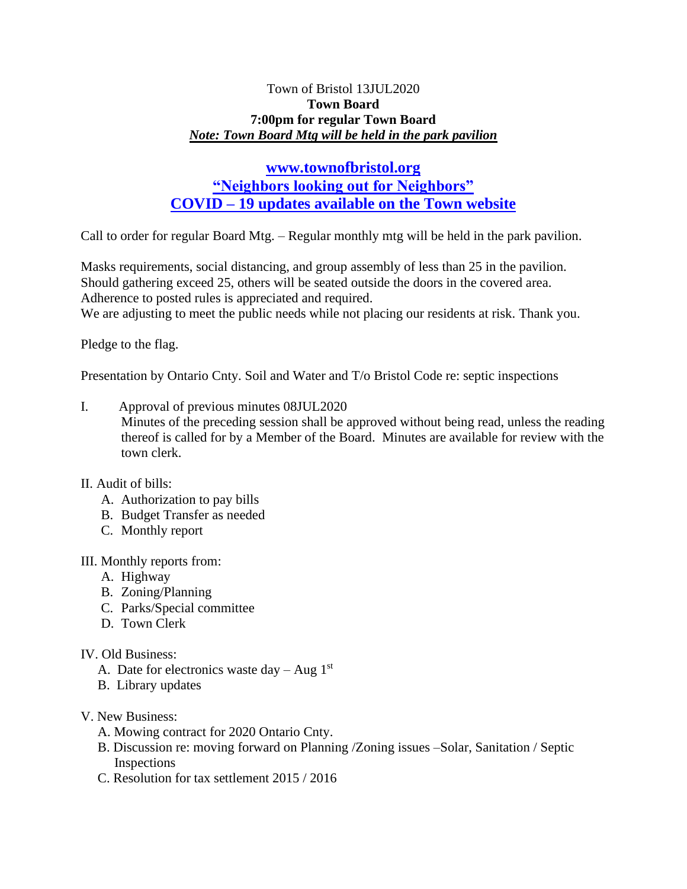### Town of Bristol 13JUL2020 **Town Board 7:00pm for regular Town Board** *Note: Town Board Mtg will be held in the park pavilion*

# **[www.townofbristol.org](http://www.townofbristol.org/) "Neighbors looking out for Neighbors" COVID – 19 updates available on the Town website**

Call to order for regular Board Mtg. – Regular monthly mtg will be held in the park pavilion.

Masks requirements, social distancing, and group assembly of less than 25 in the pavilion. Should gathering exceed 25, others will be seated outside the doors in the covered area. Adherence to posted rules is appreciated and required.

We are adjusting to meet the public needs while not placing our residents at risk. Thank you.

Pledge to the flag.

Presentation by Ontario Cnty. Soil and Water and T/o Bristol Code re: septic inspections

- I. Approval of previous minutes 08JUL2020 Minutes of the preceding session shall be approved without being read, unless the reading thereof is called for by a Member of the Board. Minutes are available for review with the town clerk.
- II. Audit of bills:
	- A. Authorization to pay bills
	- B. Budget Transfer as needed
	- C. Monthly report

#### III. Monthly reports from:

- A. Highway
- B. Zoning/Planning
- C. Parks/Special committee
- D. Town Clerk

## IV. Old Business:

- A. Date for electronics waste day Aug  $1<sup>st</sup>$
- B. Library updates
- V. New Business:
	- A. Mowing contract for 2020 Ontario Cnty.
	- B. Discussion re: moving forward on Planning /Zoning issues –Solar, Sanitation / Septic Inspections
	- C. Resolution for tax settlement 2015 / 2016